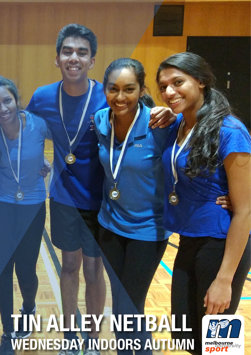# 6 **TIN ALLEY NETBALL WEDNESDAY INDOORS AUTUMN**